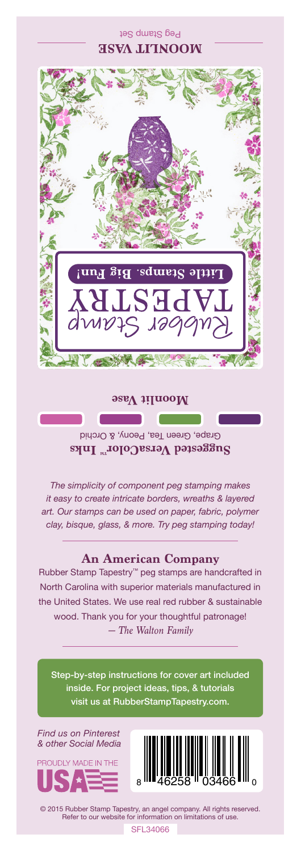Peg Stamp Set **MOONLIT VASE**



**Moonlit Vase**

Grape, Green Tea, Peony, & Orchid Suggested VersaColor<sup>m</sup> Inks

*The simplicity of component peg stamping makes it easy to create intricate borders, wreaths & layered art. Our stamps can be used on paper, fabric, polymer clay, bisque, glass, & more. Try peg stamping today!*

## **An American Company**

*— The Walton Family* Rubber Stamp Tapestry™ peg stamps are handcrafted in North Carolina with superior materials manufactured in the United States. We use real red rubber & sustainable wood. Thank you for your thoughtful patronage!

Step-by-step instructions for cover art included inside. For project ideas, tips, & tutorials visit us at RubberStampTapestry.com.

*Find us on Pinterest & other Social Media*





© 2015 Rubber Stamp Tapestry, an angel company. All rights reserved. Refer to our website for information on limitations of use.